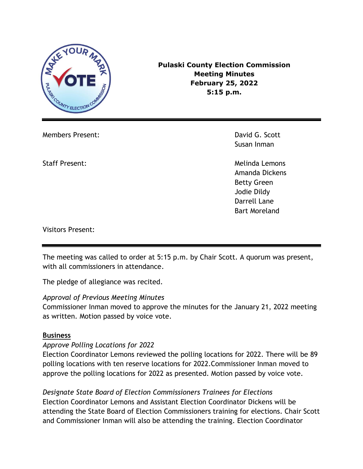

**Pulaski County Election Commission Meeting Minutes February 25, 2022 5:15 p.m.**

Members Present: David G. Scott

Susan Inman

Staff Present: Network and Staff Present: Melinda Lemons Amanda Dickens Betty Green Jodie Dildy Darrell Lane Bart Moreland

Visitors Present:

The meeting was called to order at 5:15 p.m. by Chair Scott. A quorum was present, with all commissioners in attendance.

The pledge of allegiance was recited.

## *Approval of Previous Meeting Minutes*

Commissioner Inman moved to approve the minutes for the January 21, 2022 meeting as written. Motion passed by voice vote.

## **Business**

## *Approve Polling Locations for 2022*

Election Coordinator Lemons reviewed the polling locations for 2022. There will be 89 polling locations with ten reserve locations for 2022.Commissioner Inman moved to approve the polling locations for 2022 as presented. Motion passed by voice vote.

*Designate State Board of Election Commissioners Trainees for Elections* Election Coordinator Lemons and Assistant Election Coordinator Dickens will be attending the State Board of Election Commissioners training for elections. Chair Scott and Commissioner Inman will also be attending the training. Election Coordinator